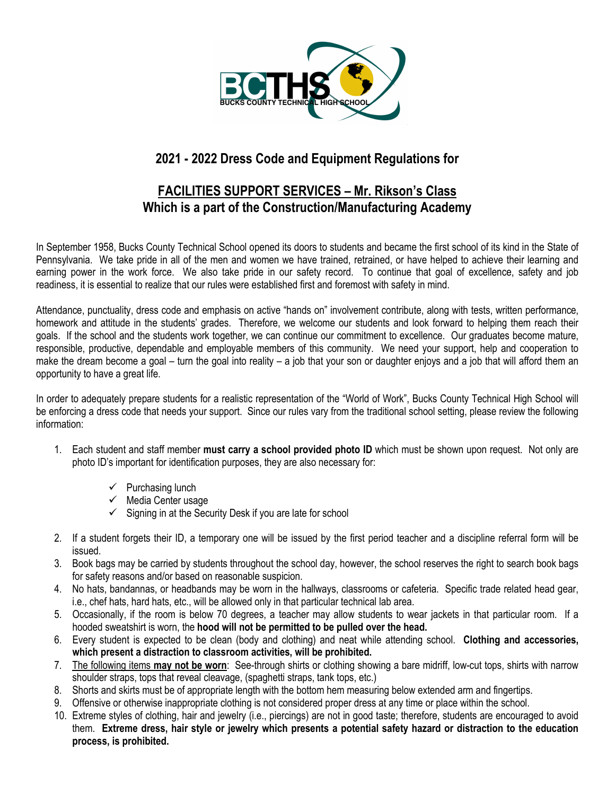

# **2021 - 2022 Dress Code and Equipment Regulations for**

## **FACILITIES SUPPORT SERVICES – Mr. Rikson's Class Which is a part of the Construction/Manufacturing Academy**

In September 1958, Bucks County Technical School opened its doors to students and became the first school of its kind in the State of Pennsylvania. We take pride in all of the men and women we have trained, retrained, or have helped to achieve their learning and earning power in the work force. We also take pride in our safety record. To continue that goal of excellence, safety and job readiness, it is essential to realize that our rules were established first and foremost with safety in mind.

Attendance, punctuality, dress code and emphasis on active "hands on" involvement contribute, along with tests, written performance, homework and attitude in the students' grades. Therefore, we welcome our students and look forward to helping them reach their goals. If the school and the students work together, we can continue our commitment to excellence. Our graduates become mature, responsible, productive, dependable and employable members of this community. We need your support, help and cooperation to make the dream become a goal – turn the goal into reality – a job that your son or daughter enjoys and a job that will afford them an opportunity to have a great life.

In order to adequately prepare students for a realistic representation of the "World of Work", Bucks County Technical High School will be enforcing a dress code that needs your support. Since our rules vary from the traditional school setting, please review the following information:

- 1. Each student and staff member **must carry a school provided photo ID** which must be shown upon request. Not only are photo ID's important for identification purposes, they are also necessary for:
	- $\checkmark$  Purchasing lunch
	- $\checkmark$  Media Center usage
	- $\checkmark$  Signing in at the Security Desk if you are late for school
- 2. If a student forgets their ID, a temporary one will be issued by the first period teacher and a discipline referral form will be issued.
- 3. Book bags may be carried by students throughout the school day, however, the school reserves the right to search book bags for safety reasons and/or based on reasonable suspicion.
- 4. No hats, bandannas, or headbands may be worn in the hallways, classrooms or cafeteria. Specific trade related head gear, i.e., chef hats, hard hats, etc., will be allowed only in that particular technical lab area.
- 5. Occasionally, if the room is below 70 degrees, a teacher may allow students to wear jackets in that particular room. If a hooded sweatshirt is worn, the **hood will not be permitted to be pulled over the head.**
- 6. Every student is expected to be clean (body and clothing) and neat while attending school. **Clothing and accessories, which present a distraction to classroom activities, will be prohibited.**
- 7. The following items **may not be worn**: See-through shirts or clothing showing a bare midriff, low-cut tops, shirts with narrow shoulder straps, tops that reveal cleavage, (spaghetti straps, tank tops, etc.)
- 8. Shorts and skirts must be of appropriate length with the bottom hem measuring below extended arm and fingertips.
- 9. Offensive or otherwise inappropriate clothing is not considered proper dress at any time or place within the school.
- 10. Extreme styles of clothing, hair and jewelry (i.e., piercings) are not in good taste; therefore, students are encouraged to avoid them. **Extreme dress, hair style or jewelry which presents a potential safety hazard or distraction to the education process, is prohibited.**